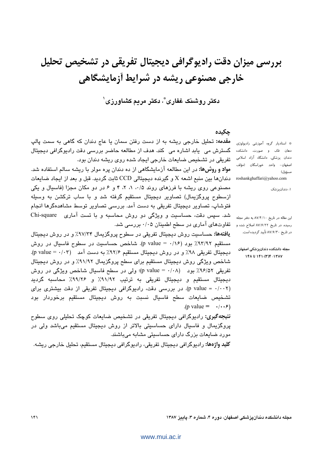بررسی میزان دقت رادیوگرافی دیجیتال تفریقی در تشخیص تحلیل خارجی مصنوعی ریشه در شرایط آزمایشگاهی

دکتر روشنک غفاری ؓ، دکتر مریم کشاورزی ٰ

### حكىدە

مقدمه: تحلیل خارجی ریشه به از دست رفتن سمان یا عاج دندان که گاهی به سمت پالپ گسترش می یابد اشاره می کند. هدف از مطالعه حاضر بررسی دقت رادیوگرافی دیجیتال تفریقی در تشخیص ضایعات خارجی ایجاد شده روی ریشه دندان بود.

<mark>مواد و روش&ا:</mark> در این مطالعه آزمایشگاهی از ده دندان پره مولر با ریشه سالم استفاده شد. دندانها بين منبع اشعه X و گيرنده ديجيتالي CCD ثابت گرديد. قبل و بعد از ايجاد ضايعات مصنوعی روی ریشه با فرزهای روند ۰/۵، ۱، ۲، ۴ و ۶ در دو مکان مجزا (فاسیال و یکی ازسطوح پروگزیمال) تصاویر دیجیتال مستقیم گرفته شد و با ساب ترکشن به وسیله فتوشاپ، تصاویر دیجیتال تفریقی به دست آمد. بررسی تصاویر توسط مشاهدهگرها انجام شد. سپس دقت، حساسیت و ویژگی دو روش محاسبه و با تست آماری Chi-square تفاوتهای آماری در سطح اطمینان ۰/۰۵ بررسی شد.

**یافتهها:** حساسیت روش دیجیتال تفریقی در سطوح پروگزیمال ۹۷/۳۴٪ و در روش دیجیتال مستقيم ٩٣/٩٢٪ بود (١/ ٥ = p value). شاخص حساسيت در سطوح فاسيال در روش دیجیتال تفریقی ۹۸٪ و در روش دیجیتال مستقیم ۹۲/۶٪ به دست آمد (p value = ۰/۰۳). شاخص ویژگی روش دیجیتال مستقیم برای سطح پروگزیمال ۹۱/۹۲٪ و در روش دیجیتال تفریقی ۹۶/۵۲٪ بود (p value = ۰/۰۸)؛ ولی در سطح فاسپال شاخص ویژگی در روش دیجیتال مستقیم و دیجیتال تفریقی به ترتیب ۹۱/۹۲٪ و ۹۹/۲۶٪ محاسبه گردید (p value = ·/··٢). در بررسی دقت، رادیوگرافی دیجیتال تفریقی از دقت بیشتری برای تشخیص ضایعات سطح فاسیال نسبت به روش دیجیتال مستقیم برخوردار بود  $(p \text{ value} = \cdot/\cdot \cdot)$ **نتیجه گیری:** رادیوگرافی دیجیتال تفریقی در تشخیص ضایعات کوچک تحلیلی روی سطوح پروگزیمال و فاسیال دارای حساسیتی بالاتر از روش دیجیتال مستقیم میباشد ولی در مورد ضایعات بزرگ دارای حساسبتی مشابه میباشند.

**کلید واژهها:** رادیوگرافی دیجیتال تفریقی، رادیوگرافی دیجیتال مستقیم، تحلیل خارجی ریشه.

\* استادیار گروه آموزشی رادیولوژی دهان فک و صورت، دانشکده دندان پزشکی، دانشگاه آزاد اسلامی اصفهان- واحد خوراسگان (مؤلف مسؤول) roshankghaffari@yahoo.com

۱: دندانپزشک

این مقاله در تاریخ ۸۷/۴/۱۰ به دفتر مجله رسیده، در تاریخ ۸۷/۶/۲۲ اصلاح شده و در تاریخ ۸۷/۶/۳۰ تأیید گردیده است.

مجله دانشكده دندانيزشكي اصفهان ١۴٨ تا ١۴١٠(٣)٢ تا ١۴٨

مجله دانشکده دندانپزشکی اصفهان، دوره ۴، شماره ۳، پاییز ۱۳۸۷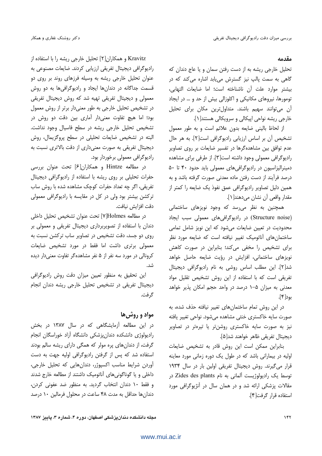## دکتر روشنک غفاری و همکار

# مقدمه

تحلیل خارجی ریشه به از دست رفتن سمان و یا عاج دندان که گاهی به سمت پالپ نیز گسترش می یابد اشاره می کند که در بيشتر موارد علت آن ناشناخته است؛ اما ضايعات التهابي، تومورها، نیروهای مکانیکی و اکلوزالی بیش از حد و … در ایجاد آن میتوانند سهیم باشند. متداولترین مکان برای تحلیل خارجي ريشه نواحي اپيكالي و سرويكالي هستند[١].

از لحاظ باليني ضايعه بدون علائم است و به طور معمول تشخیص آن بر اساس ارزیابی رادیوگرافی است[۲]. به هر حال عدم توافق بین مشاهدهگرها در تفسیر ضایعات بر روی تصاویر راديوگرافي معمولي وجود داشته است[٣]. از طرفي براي مشاهده دمینرالیزاسیون در رادیوگرافی های معمولی باید حدود ۴۰ تا ۵۰ درصد فرآیند از دست رفتن ماده معدنی صورت گرفته باشد و به همین دلیل تصاویر رادیوگرافی عمق نفوذ یک ضایعه را کمتر از مقدار واقعي آن نشان مي دهند[1].

همچنین به نظر میرسد که وجود نویزهای ساختمانی (Structure noise) در رادیوگرافی های معمولی سبب ایجاد محدودیت در تعیین ضایعات می شود که این نویز شامل تمامی ساختمان های آناتومیک تغییر نیافته است که ضایعه مورد نظر برای تشخیص را مخفی می کند؛ بنابراین در صورت کاهش نویزهای ساختمانی، افزایش در رؤیت ضایعه حاصل خواهد شد[٢]. این مطلب اساس روشی به نام رادیوگرافی دیجیتال تفریقی است که با استفاده از این روش تشخیص تقلیل مواد معدنی به میزان ۵–۱ درصد در واحد حجم امکان پذیر خواهد بود[۴].

در این روش تمام ساختمانهای تغییر نیافته حذف شده، به صورت سایه خاکستری خنثی مشاهده میشود. نواحی تغییر یافته نیز به صورت سایه خاکستری روشنتر یا تیرهتر در تصاویر ديجيتال تفريقي ظاهر خواهند شد[۵].

بنابراین ممکن است این روش قادر به تشخیص ضایعات اولیه در بیمارانی باشد که در طول یک دوره زمانی مورد معاینه قرار می گیرند. روش دیجیتال تفریقی اولین بار در سال ۱۹۳۴ توسط یک رادیولوژیست آلمانی به نام Zides des plants در مقالات پزشکی ارائه شد و در همان سال در آنژیوگرافی مورد استفاده قرار گرفت[۴].

Kravitz و همکاران[۲] تحلیل خارجی ریشه را با استفاده از رادیوگرافی دیجیتال تفریقی ارزیابی کردند. ضایعات مصنوعی به عنوان تحلیل خارجی ریشه به وسیله فرزهای روند بر روی دو قسمت جداگانه در دندانها ایجاد و رادیوگرافیها به دو روش معمولی و دیجیتال تفریقی تهیه شد که روش دیجیتال تفریقی در تشخیص تحلیل خارجی به طور معنیدار برتر از روش معمول بود؛ اما هیچ تفاوت معنیدار آماری بین دقت دو روش در تشخیص تحلیل خارجی ریشه در سطح فاسیال وجود نداشت. البته در تشخیص ضایعات تحلیلی در سطح پروگزیمال، روش دیجیتال تفریقی به صورت معنیداری از دقت بالاتری نسبت به رادیوگرافی معمولی برخوردار بود.

در مطالعه Hintze و همکاران[۶] تحت عنوان بررسی حفرات تحلیلی بر روی ریشه با استفاده از رادیو گرافی دیجیتال تفریقی، اگر چه تعداد حفرات کوچک مشاهده شده با روش ساب ترکشن بیشتر بود ولی در کل در مقایسه با رادیوگرافی معمولی دقت افزايش نيافت.

در مطالعه Holmes] T تحت عنوان تشخيص تحليل داخلي دندان با استفاده از تصویربرداری دیجیتال تفریقی و معمولی بر روی دو جسد، دقت تشخیص در تصاویر ساب ترکشن نسبت به معمولی برتری داشت اما فقط در مورد تشخیص ضایعات کرونالی در مورد سه نفر از ۵ نفر مشاهدهگر تفاوت معنی دار دیده شد.

این تحقیق به منظور تعیین میزان دقت روش رادیوگرافی دیجیتال تفریقی در تشخیص تحلیل خارجی ریشه دندان انجام گرفت.

## مواد و روش ها

در این مطالعه آزمایشگاهی که در سال ۱۳۸۷ در بخش رادیولوژی دانشکده دندان یزشکی دانشگاه آزاد خوراسگان انجام گرفت، از دندان های پره مولر که همگی دارای ریشه سالم بودند استفاده شد که پس از گرفتن رادیوگرافی اولیه جهت به دست آوردن شرایط مناسب اکسپوژر، دندانهایی که تحلیل خارجی، داخلی و یا گوناگونیهای اّناتومیک داشتند از مطالعه خارج شدند و فقط ١٠ دندان انتخاب گرديد. به منظور ضد عفوني كردن، دندان ها حداقل به مدت ۴۸ ساعت در محلول فرمالین ۱۰ درصد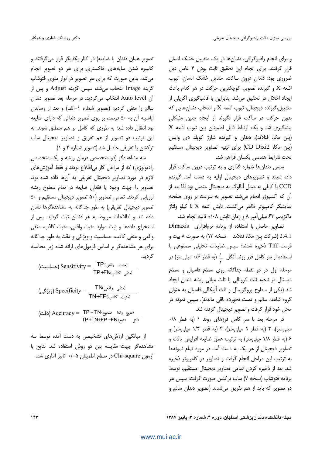و برای انجام رادیوگرافی، دندانها در یک مندیبل خشک انسان قرار گرفتند. برای انجام این تحقیق ثابت بودن ۴ عامل ذیل ضروری بود: دندان درون ساکت، مندیل خشک انسان، تیوب اشعه X و گیرنده تصویر. کوچکترین حرکت در هر کدام باعث ایجاد اخلال در تحقیق میشد. بنابراین با قالبگیری اکریلی از منديبل،گيرنده ديجيتال، تيوب اشعه X و انتخاب دندانهايي كه بدون حرکت در ساکت قرار بگیرند از ایجاد چنین مشکلی  $X$  پیشگیری شد و یک ارتباط قابل اطمینان بین تیوب اشعه (پلن مکا، فنلاند)، دندان و گیرنده شارژ کوپلد دی وایس (پلن مكا، CD Dixi2) براى تهيه تصاوير ديجيتال مستقيم تحت شرايط هندسى يكسان فراهم شد.

سپس دندانها شماره گذاری و به ترتیب درون ساکت قرار داده شدند و تصویرهای دیجیتال اولیه به دست آمد. گیرنده CCD با کابلی به مبدل آنالوگ به دیجیتال متصل بود لذا بعد از آن که اکسپوژر انجام میشد، تصویر به سرعت بر روی صفحه نمایشگر کامپیوتر ظاهر میگشت. تابش اشعه X با کیلو ولتاژ ماکزیمم ۶۳ میلی آمیر ۸ و زمان تابش ۰/۰۸ ثانیه انجام شد.

تصاویر حاصل با استفاده از برنامه نرمافزاری Dimaxis 2.4.1 (شركت پلن مكا، فنلاند — نسخه ١٣) به صورت ٨ بيت و فرمت Tiff ذخیره شدند؛ سپس ضایعات تحلیلی مصنوعی با استفاده از سر کامل فرز روند آنگل  $\perp$  (به قطر ۰/۶ میلی0متر) در مرحله اول در دو نقطه جداگانه روی سطح فاسیال و سطح دیستال در ناحیه ثلث کرونالی یا ثلث میانی ریشه دندان ایجاد شد (یکی از سطوح پروگزیمال و ثلث آییکالی فاسیال به عنوان گروه شاهد، سالم و دست نخورده باقی ماندند). سپس نمونه در محل خود قرار گرفت و تصویر دیجیتال گرفته شد.

در مرحله بعد با سر كامل فرزهاى روند ١ (به قطر ٠/٨ میلی متر)، ۲ (به قطر ۱ میلی متر)، ۴ (به قطر ۱/۴ میلی متر) و ۶ (به قطر ۱/۸ میلی متر) به ترتیب عمق ضایعه افزایش یافت و تصاویر دیجیتال از هر یک به دست آمد. در مورد تمام نمونهها به ترتیب این مراحل انجام گرفت و تصاویر در کامپیوتر ذخیره شد. بعد از ذخیره کردن تمامی تصاویر دیجیتال مستقیم، توسط برنامه فتوشاپ (نسخه ۷) ساب ترکشن صورت گرفت؛ سپس هر دو تصویر که باید از هم تفریق می شدند (تصویر دندان سالم و

تصویر همان دندان با ضایعه) در کنار یکدیگر قرار می گرفتند و کالیبره شدن سایههای خاکستری برای هر دو تصویر انجام می شد، بدین صورت که برای هر تصویر در نوار منوی فتوشاپ گزینه Image انتخاب میشد، سپس گزینه Adjust و پس از آن Auto level انتخاب می گردید. در مرحله بعد تصویر دندان سالم را منفی کردیم (تصویر شماره ۱–الف) و بعد از رساندن اپاسیته آن به ۵۰ درصد، بر روی تصویر دندانی که دارای ضایعه بود انتقال داده شد؛ به طوری که کامل بر هم منطبق شوند. به این ترتیب دو تصویر از هم تفریق و تصاویر دیجیتال ساب تركشن يا تفريقى حاصل شد (تصوير شماره ٢ و ١).

سه مشاهدهگر (دو متخصص درمان ریشه و یک متخصص رادیولوژی) که از مراحل کار بی اطلاع بودند و فقط آموزش های لازم در مورد تصاویر دیجیتال تفریقی به آنها داده شده بود، تصاویر را جهت وجود یا فقدان ضایعه در تمام سطوح ریشه ارزیابی کردند. تمامی تصاویر (۵۰ تصویر دیجیتال مستقیم و ۵۰ تصویر دیجیتال تفریقی) به طور جداگانه به مشاهدهگرها نشان داده شد و اطلاعات مربوط به هر دندان ثبت گردید. پس از استخراج دادهها و ثبت موارد مثبت واقعی، مثبت کاذب، منفی واقعی و منفی کاذب، حساسیت و ویژگی و دقت به طور جداگانه برای هر مشاهدهگر بر اساس فرمول های ارائه شده زیر محاسبه گر دید.

(حشیت واقعی) Sensitivity = 
$$
\frac{\text{TP} \cdot (x^2 - 3x - 1)}{\text{TP} + \text{FN} \cdot (x^2 - 3x - 2)}
$$
\n
$$
\text{Specificity} = \frac{\text{TN} \cdot (x^3 - 3x - 2)}{\text{TN} + \text{FP} \cdot (x^2 - 3x - 2)}
$$

(ئتایج واقما صحی) Accuracy = 
$$
\frac{\text{TP} + \text{TN}}{\text{TP} + \text{TN} + \text{FP} + \text{FN}} \cdot (2\vec{b})
$$

از میانگین ارزشهای تشخیصی به دست آمده توسط سه مشاهدهگر جهت مقایسه بین دو روش استفاده شد. نتایج با آزمون Chi-square در سطح اطمینان ۰/۰۵ آنالیز آماری شد.

محله دانشکده دندانیزشکی اصفهان، دوره ۴، شماره ۳، پاییز ۱۳۸۷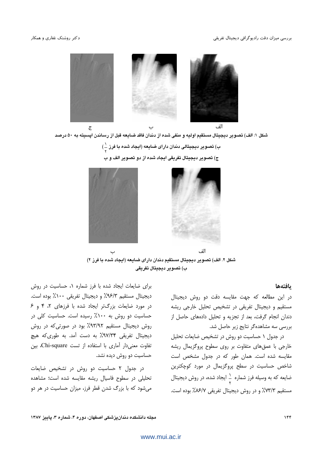

شکل ۱: الف) تصویر دیجیتال مستقیم اولیه و منفی شده از دندان فاقد ضایعه قبل از رساندن اپسیته به ۵۰ درصد

```
ب) تصویر دیجیتالی دندان دارای ضایعه (ایجاد شده با فرز \left(\frac{1}{\epsilon}\right)
```
ج) تصوير ديجيتال تفريقى ايجاد شده از دو تصوير الف و ب



شكل ٢. الف) تصوير ديجيتال مستقيم دندان داراي ضايعه (ايجاد شده با فرز ٢) ب) تصوير ديجيتال تفريقي

#### بافتهها

در این مطالعه که جهت مقایسه دقت دو روش دیجیتال مستقیم و دیجیتال تفریقی در تشخیص تحلیل خارجی ریشه دندان انجام گرفت، بعد از تجزیه و تحلیل دادههای حاصل از بررسی سه مشاهدهگر نتایج زیر حاصل شد.

در جدول ١ حساسيت دو روش در تشخيص ضايعات تحليل خارجی با عمقهای متفاوت بر روی سطوح پروگزیمال ریشه مقایسه شده است. همان طور که در جدول مشخص است شاخص حساسیت در سطح پروگزیمال در مورد کوچکترین ضایعه که به وسیله فرز شماره ٔ ایجاد شده، در روش دیجیتال مستقيم ٧٣/٣٪ و در روش ديجيتال تفريقي ٧/١۶/٧٪ بوده است.

برای ضایعات ایجاد شده با فرز شماره ۱، حساسیت در روش ديجيتال مستقيم ٩۶/٣٪ و ديجيتال تفريقي ١٠٠٪ بوده است. در مورد ضایعات بزرگتر ایجاد شده با فرزهای ۲، ۴ و ۶ حساسیت دو روش به ۱۰۰٪ رسیده است. حساسیت کلی در روش دیجیتال مستقیم ۹۳/۹۲٪ بود در صورتی که در روش دیجیتال تفریقی ۹۷/۳۴٪ به دست آمد. به طوری که هیچ تفاوت معنى دار آمارى با استفاده از تست Chi-square، بين حساسیت دو روش دیده نشد.

در جدول ۲ حساسیت دو روش در تشخیص ضایعات تحلیلی در سطوح فاسیال ریشه مقایسه شده است؛ مشاهده می شود که با بزرگ شدن قطر فرز، میزان حساسیت در هر دو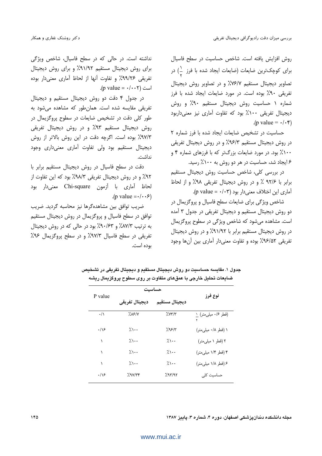روش افزایش یافته است. شاخص حساسیت در سطح فاسیال برای کوچکترین ضایعات (ضایعات ایجاد شده با فرز  $\left.\frac{1}{2}\right)$  در تصاویر دیجیتال مستقیم ۷۶/۷٪ و در تصاویر روش دیجیتال تفریقی ۹۰٪ بوده است. در مورد ضایعات ایجاد شده با فرز شماره ١ حساسيت روش ديجيتال مستقيم ٩٠٪ و روش دیجیتال تفریقی ۱۰۰٪ بود که تفاوت آماری نیز معنیداربود  $(p \text{ value} = \cdot / \cdot \mathfrak{r})$ 

حساسیت در تشخیص ضایعات ایجاد شده با فرز شماره ٢ در روش دیجیتال مستقیم ۹۶/۳٪ و در روش دیجیتال تفریقی ۱۰۰٪ بود. در مورد ضایعات بزرگتر که با فرزهای شماره ۴ و ۶ ایجاد شد، حساسیت در هر دو روش به ۱۰۰٪ رسید.

در بررسی کلی، شاخص حساسیت روش دیجیتال مستقیم برابر با ٩٢/۶ ٪ و در روش ديجيتال تفريقي ٩٨٪ و از لحاظ آماری این اختلاف معنی دار بود (p value =  $\cdot$ /۰۳).

شاخص ویژگی برای ضایعات سطح فاسیال و پروگزیمال در دو روش دیجیتال مستقیم و دیجیتال تفریقی در جدول ۳ آمده است. مشاهده میشود که شاخص ویژگی در سطوح پروگزیمال در روش دیجیتال مستقیم برابر با ۹۱/۹۲٪ و در روش دیجیتال تفریقی ۹۶/۵۲٪ بوده و تفاوت معنیدار آماری بین آنها وجود

نداشته است. در حالی که در سطح فاسیال، شاخص ویژگی برای روش دیجیتال مستقیم ۹۱/۹۲٪ و برای روش دیجیتال تفریقی ۹۹/۲۶٪ و تفاوت آنها از لحاظ آماری معنی دار بوده .(p value =  $\cdot$ / $\cdot$  + ) است

در جدول ۴ دقت دو روش دیجیتال مستقیم و دیجیتال تفریقی مقایسه شده است. همان طور که مشاهده می شود به طور کلی دقت در تشخیص ضایعات در سطوح پروگزیمال در روش دیجیتال مستقیم ۹۳٪ و در روش دیجیتال تفریقی ٩٧/٣٪ بوده است. اگرچه دقت در این روش بالاتر از روش دیجیتال مستقیم بود ولی تفاوت آماری معنیداری وجود نداشت.

دقت در سطح فاسیال در روش دیجیتال مستقیم برابر با ۹۲٪ و در روش دیجیتال تفریقی ۹۸/۳٪ بود که این تفاوت از لحاظ آماري با آزمون Chi-square معنى دار بود  $(p \text{ value} = \cdot / \cdot \cdot \cdot)$ 

ضريب توافق بين مشاهده گرها نيز محاسبه گرديد. ضريب توافق در سطح فاسیال و پروگزیمال در روش دیجیتال مستقیم به ترتیب ۸۷/۳٪ و ۹۰/۶۳٪ بود در حالی که در روش دیجیتال تفریقی در سطح فاسیال ۹۷/۳٪ و در سطح پروگزیمال ۹۶٪ بوده است.

|                | حساسيت                    |                       |                         |
|----------------|---------------------------|-----------------------|-------------------------|
| P value        | ديجيتال تفريقي            | ديجيتال مستقيم        | نوع فرز                 |
| $\cdot/\wedge$ | 7.15/1                    | $\frac{7}{11}$        | قطر ۰/۶ میلی.تر) ۱<br>۲ |
| ۱۱۶            | $\lambda \setminus \cdot$ | 7.99/8                | ۱ (قطر ۰/۸ میلی متر)    |
| ١              | ٪۱۰۰                      | $\lambda \cdot \cdot$ | ۲ (قطر ۱ میلیمتر)       |
| ١              | $\lambda \cdot \cdot$     | ۱۰۰٪                  | ۴ (قطر ۱/۴ میلی متر)    |
| ١              | $\lambda \cdot \cdot$     | $\lambda \cdot \cdot$ | ۶ (قطر ۱/۸ میلی متر)    |
| .19            | 29V/Tf                    | 297/97                | حساسیت کلی              |

جدول ١. مقايسه حساسيت دو روش ديجيتال مستقيم و ديجيتال تفريقي در تشخيص ضايعات تحليل خارجي با عمقهای متفاوت بر روی سطوح پروگزيمال ريشه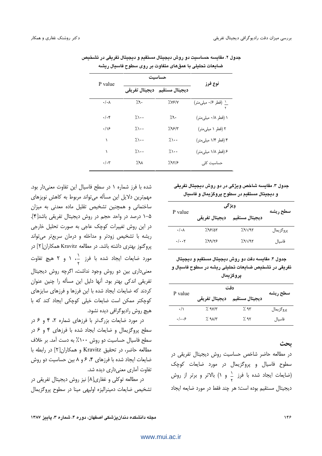|                      | حساسيت                |                                 |                           |
|----------------------|-----------------------|---------------------------------|---------------------------|
| P value              | دیجیتال تفریقی        | ديجيتال مستقيم                  | نوع فرز                   |
| $\cdot/\cdot \wedge$ | 7.9.                  | $\frac{1}{2}$ $\sqrt{9}$        | ۱ (قطر ۰/۶ میلی متر)<br>۲ |
| $\cdot/\cdot$ ۴      | 7.1                   | ۰,۹٪                            | ۱ (قطر ۰/۸ میلی متر)      |
| .19                  | パー・                   | $7.95/\tau$                     | ۲ (قطر ۱ میلیمتر)         |
| ١                    | 7.1                   | $\lambda \cdot \cdot$           | ۴ (قطر ۱/۴ میلی متر)      |
| ١                    | $\lambda \cdot \cdot$ | $\lambda \setminus \cdot \cdot$ | ۶ (قطر ۱/۸ میلی متر)      |
| $\cdot/\cdot7$       | 7.۹۸                  | 297/5                           | حساسیت کلی                |

جدول ۲. مقايسه حساسيت دو روش ديجيتال مستقيم و ديجيتال تفريقي در تشخيص ضایعات تحلیلی با عمقهای متفاوت بر روی سطوح فاسیال ریشه

شده با فرز شماره ۱ در سطح فاسیال این تفاوت معنیدار بود. مهمترین دلایل این مسأله می تواند مربوط به کاهش نویزهای ساختمانی و همچنین تشخیص تقلیل ماده معدنی به میزان ۵–۱ درصد در واحد حجم در روش دیجیتال تفریقی باشد[۴]. در این روش تغییرات کوچک عاجی به صورت تحلیل خارجی ریشه با تشخیص زودتر و مداخله و درمان سریعتر می تواند یروگنوز بهتری داشته باشد. در مطالعه Kravitz همکاران[۲] در مورد ضایعات ایجاد شده با فرز ده ۱ و ۲ هیچ تفاوت معنی داری بین دو روش وجود نداشت، اگرچه روش دیجیتال تفریقی اندکی بهتر بود. آنها دلیل این مسأله را چنین عنوان كردند كه ضايعات ايجاد شده با اين فرزها و فرزهاى سايزهاى كوچكتر ممكن است ضايعات خيلى كوچكى ايجاد كند كه با هیچ روش رادیوگرافی دیده نشود.

در مورد ضایعات بزرگتر با فرزهای شماره ۲، ۴ و ۶ در سطح پروگزیمال و ضایعات ایجاد شده با فرزهای ۴ و ۶ در سطح فاسیال حساسیت دو روش ۱۰۰٪ به دست آمد. بر خلاف مطالعه حاضر، در تحقیق Kravitz و همکاران[۲] در رابطه با ضایعات ایجاد شده با فرزهای ۴، ۶ و ۸ بین حساسیت دو روش تفاوت آماری معنی داری دیده شد.

در مطالعه توکلی و غفاری[۸] نیز روش دیجیتال تفریقی در تشخیص ضایعات دمینرالیزه اولیهی مینا در سطوح پروگزیمال

# جدول ۳. مقایسه شاخص ویژگی در دو روش دیجیتال تفریقی و دیجیتال مستقیم در سطوح پروگزیمال و فاسیال

| P value               | ويژگي          |                |           |
|-----------------------|----------------|----------------|-----------|
|                       | ديجيتال تفريقي | ديجيتال مستقيم | سطح ريشه  |
| $\cdot/\cdot \Lambda$ | 7.99/28        | 7.91/97        | يروگزيمال |
| $\cdot/\cdot\cdot$ ۲  | 7.99/75        | 7.91/97        | فاسيال    |

جدول ۴. مقايسه دقت دو روش ديجيتال مستقيم و ديجيتال تفریقی در تشخیص ضایعات تحلیلی ریشه در سطوح فاسیال و يروگزيمال

| P value        | دقت                          |                |           |
|----------------|------------------------------|----------------|-----------|
|                | ديجيتال تفريقي               | ديجيتال مستقيم | سطح ريشه  |
| $\cdot/\wedge$ | $\frac{1}{2}$ 98/1           | 7.95           | پروگزيمال |
| .  . .5        | $\frac{1}{2}$ 9 $\Lambda$ /۳ | $\%$ 95        | فاسيال    |

ىحث

در مطالعه حاضر شاخص حساسیت روش دیجیتال تفریقی در سطوح فاسیال و پروگزیمال در مورد ضایعات کوچک (ضایعات ایجاد شده با فرز به و ۱) بالاتر و برتر از روش ديجيتال مستقيم بوده است؛ هر چند فقط در مورد ضايعه ايجاد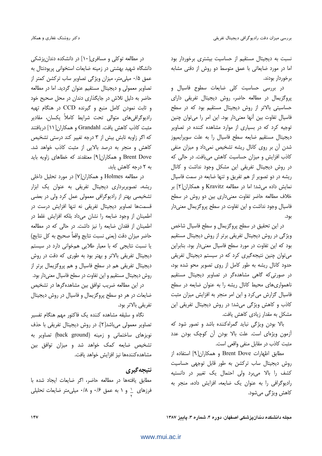نسبت به دیجیتال مستقیم از حساسیت بیشتری برخوردار بود اما در مورد ضایعاتی با عمق متوسط دو روش از دقتی مشابه برخوردار بودند.

در بررسی حساسیت کلی ضایعات سطوح فاسیال و یروگزیمال در مطالعه حاضر، روش دیجیتال تفریقی دارای حساسیتی بالاتر از روش دیجیتال مستقیم بود که در سطح فاسیال تفاوت بین آنها معنیدار بود. این امر را می توان چنین توجیه کرد که در بسیاری از موارد مشاهده کننده در تصاویر ديجيتال مستقيم ضايعه سطح فاسيال را به علت سوپرايمپوز شدن آن بر روی کانال ریشه تشخیص نمی داد و میزان منفی كاذب افزايش و ميزان حساسيت كاهش مي يافت. در حالي كه در روش دیجیتال تفریقی این مشکل وجود نداشت و کانال ریشه در دو تصویر از هم تفریق و تنها ضایعه در سمت فاسیال نمایش داده می شد؛ اما در مطالعه Kravitz و همکاران[۲] بر خلاف مطالعه حاضر تفاوت معنى دارى بين دو روش در سطح فاسیال وجود نداشت و این تفاوت در سطح پروگزیمال معنیدار بود.

در این تحقیق در سطح پروگزیمال و سطح فاسیال شاخص ویژگی در روش دیجیتال تفریقی برتر از روش دیجیتال مستقیم بود که این تفاوت در مورد سطح فاسیال معنیدار بود. بنابراین می توان چنین نتیجه گیری کرد که در سیستم دیجیتال تفریقی حدود کانال ریشه به طور کامل از روی تصویر محو شده بود، در صورتی که گاهی مشاهدهگر در تصاویر دیجیتال مستقیم ناهمواری های محیط کانال ریشه را به عنوان ضایعه در سطح فاسیال گزارش میکرد و این امر منجر به افزایش میزان مثبت کاذب و کاهش ویژگی میشد؛ در روش دیجیتال تفریقی این مشکل به مقدار زیادی کاهش یافت.

بالا بودن ویژگی نباید گمراهکننده باشد و تصور شود که آزمون ویژهای است. علت بالا بودن آن کوچک بودن عدد مثبت كاذب در مقابل منفى واقعى است.

مطابق اظهارات Brent Dove و همكاران[۹] استفاده از روش دیجیتال ساب ترکشن به طور قابل توجهی حساسیت کشف را بالا می برد ولی احتمال یک تغییر در دانستیه رادیوگرافی را به عنوان یک ضایعه، افزایش داده، منجر به کاهش ویژگی میشود.

در مطالعه توکلی و مسافری[۱۰] در دانشکده دندان پزشکی دانشگاه شهید بهشتی در زمینه ضایعات استخوانی پرپودنتال به عمق ۰/۵ میلی متر، میزان ویژگی تصاویر ساب ترکشن کمتر از تصاویر معمولی و دیجیتال مستقیم عنوان گردید. اما در مطالعه حاضر به دلیل تلاش در جایگذاری دندان در محل صحیح خود و ثابت نمودن كامل منبع و گيرنده CCD در هنگام تهيه رادیوگرافیهای متوالی تحت شرایط کاملاً یکسان، مقادیر مثبت كاذب كاهش يافت. Grandahl و همكاران[11] دريافتند که اگر زاویه تابش بیش از ۳ درجه تغییر کند درستی تشخیص کاهش و منجر به درصد بالایی از مثبت کاذب خواهد شد. Brent Dove و همکاران[۹] معتقدند که خطاهای زاویه باید به ۲ درجه کاهش یابد.

در مطالعه Holmes و همکاران[۷] در مورد تحلیل داخلی ریشه، تصویربرداری دیجیتال تفریقی به عنوان یک ابزار تشخیصی بهتر از رادیوگرافی معمولی عمل کرد ولی در بعضی قسمتها تصاویر دیجیتال تفریقی نه تنها افزایش درست در اطمینان از وجود ضایعه را نشان میداد بلکه افزایش غلط در اطمینان از فقدان ضایعه را نیز داشت. در حالی که در مطالعه حاضر ميزان دقت (يعني نسبت نتايج واقعاً صحيح به كل نتايج) یا نسبت نتایجی که با معیار طلایی همخوانی دارد در سیستم دیجیتال تفریقی بالاتر و بهتر بود به طوری که دقت در روش دیجیتال تفریقی هم در سطح فاسیال و هم پروگزیمال برتر از روش دیجیتال مستقیم و این تفاوت در سطح فاسپال معنی دار بود.

در این مطالعه ضریب توافق بین مشاهدهگرها در تشخیص ضایعات در هر دو سطح پروگزیمال و فاسیال در روش دیجیتال تفريقي بالاتر بود.

نگاه و سلیقه مشاهده کننده یک فاکتور مهم هنگام تفسیر تصاویر معمولی میباشد[٢]. در روش دیجیتال تفریقی با حذف نویزهای ساختمانی و زمینه (back ground) تصاویر به تشخیص ضایعه کمک خواهد شد و میزان توافق بین مشاهده كنندهها نيز افزايش خواهد يافت.

# نتيجه گيري

مطابق یافتهها در مطالعه حاضر، اگر ضایعات ایجاد شده با فرزهای ۱ و ۱ به عمق ۰/۶ و ۰/۸ میلی متر ضایعات تحلیلی

مجله دانشکده دندانپزشکی اصفهان، دوره ۴، شماره ۳، پاییز ۱۳۸۷